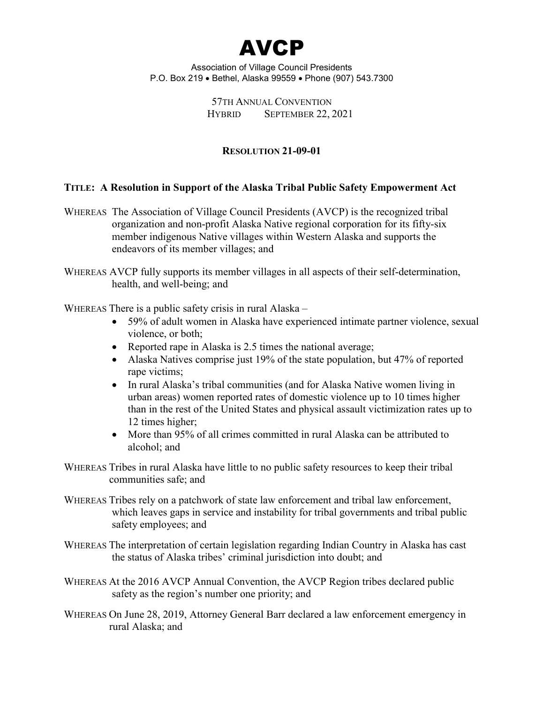

> 57TH ANNUAL CONVENTION HYBRID SEPTEMBER 22, 2021

# **RESOLUTION 21-09-01**

## **TITLE: A Resolution in Support of the Alaska Tribal Public Safety Empowerment Act**

WHEREAS The Association of Village Council Presidents (AVCP) is the recognized tribal organization and non-profit Alaska Native regional corporation for its fifty-six member indigenous Native villages within Western Alaska and supports the endeavors of its member villages; and

WHEREAS AVCP fully supports its member villages in all aspects of their self-determination, health, and well-being; and

WHEREAS There is a public safety crisis in rural Alaska –

- 59% of adult women in Alaska have experienced intimate partner violence, sexual violence, or both;
- Reported rape in Alaska is 2.5 times the national average;
- Alaska Natives comprise just 19% of the state population, but 47% of reported rape victims;
- In rural Alaska's tribal communities (and for Alaska Native women living in urban areas) women reported rates of domestic violence up to 10 times higher than in the rest of the United States and physical assault victimization rates up to 12 times higher;
- More than 95% of all crimes committed in rural Alaska can be attributed to alcohol; and

WHEREAS Tribes in rural Alaska have little to no public safety resources to keep their tribal communities safe; and

- WHEREAS Tribes rely on a patchwork of state law enforcement and tribal law enforcement, which leaves gaps in service and instability for tribal governments and tribal public safety employees; and
- WHEREAS The interpretation of certain legislation regarding Indian Country in Alaska has cast the status of Alaska tribes' criminal jurisdiction into doubt; and
- WHEREAS At the 2016 AVCP Annual Convention, the AVCP Region tribes declared public safety as the region's number one priority; and
- WHEREAS On June 28, 2019, Attorney General Barr declared a law enforcement emergency in rural Alaska; and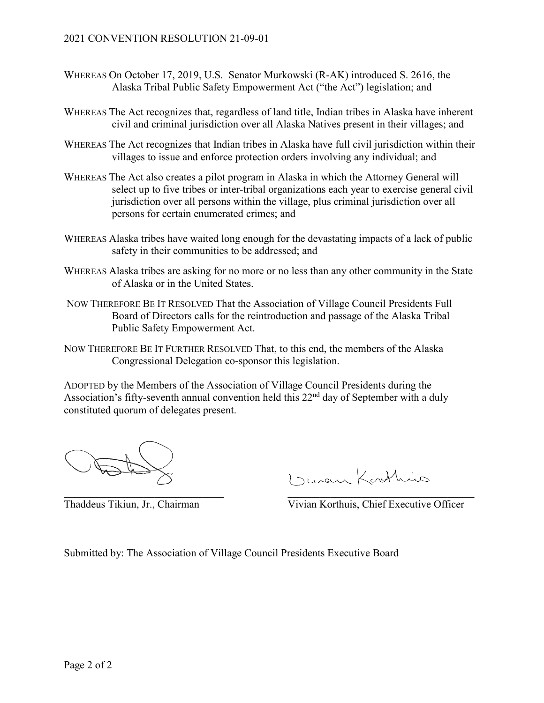- WHEREAS On October 17, 2019, U.S. Senator Murkowski (R-AK) introduced S. 2616, the Alaska Tribal Public Safety Empowerment Act ("the Act") legislation; and
- WHEREAS The Act recognizes that, regardless of land title, Indian tribes in Alaska have inherent civil and criminal jurisdiction over all Alaska Natives present in their villages; and
- WHEREAS The Act recognizes that Indian tribes in Alaska have full civil jurisdiction within their villages to issue and enforce protection orders involving any individual; and
- WHEREAS The Act also creates a pilot program in Alaska in which the Attorney General will select up to five tribes or inter-tribal organizations each year to exercise general civil jurisdiction over all persons within the village, plus criminal jurisdiction over all persons for certain enumerated crimes; and
- WHEREAS Alaska tribes have waited long enough for the devastating impacts of a lack of public safety in their communities to be addressed; and
- WHEREAS Alaska tribes are asking for no more or no less than any other community in the State of Alaska or in the United States.
- NOW THEREFORE BE IT RESOLVED That the Association of Village Council Presidents Full Board of Directors calls for the reintroduction and passage of the Alaska Tribal Public Safety Empowerment Act.
- NOW THEREFORE BE IT FURTHER RESOLVED That, to this end, the members of the Alaska Congressional Delegation co-sponsor this legislation.

I ruen Kathins  $\overline{\phantom{a}}$  , and the contribution of the contribution of the contribution of the contribution of the contribution of the contribution of the contribution of the contribution of the contribution of the contribution of the

Thaddeus Tikiun, Jr., Chairman Vivian Korthuis, Chief Executive Officer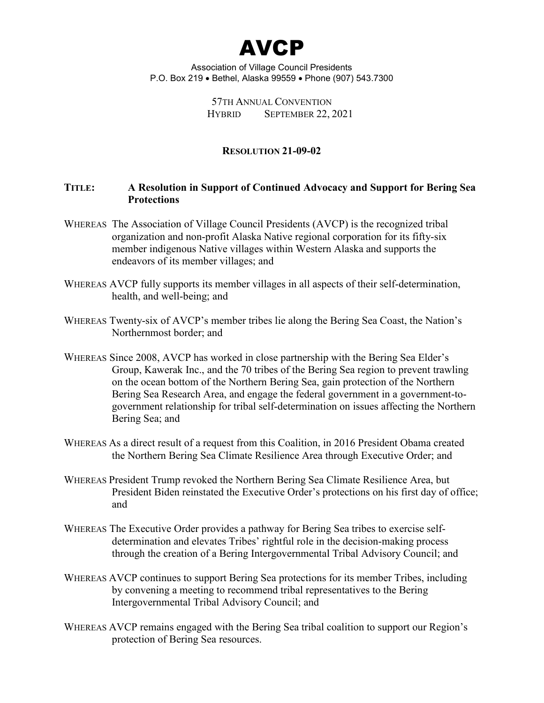

> 57TH ANNUAL CONVENTION HYBRID SEPTEMBER 22, 2021

## **RESOLUTION 21-09-02**

## **TITLE: A Resolution in Support of Continued Advocacy and Support for Bering Sea Protections**

- WHEREAS The Association of Village Council Presidents (AVCP) is the recognized tribal organization and non-profit Alaska Native regional corporation for its fifty-six member indigenous Native villages within Western Alaska and supports the endeavors of its member villages; and
- WHEREAS AVCP fully supports its member villages in all aspects of their self-determination, health, and well-being; and
- WHEREAS Twenty-six of AVCP's member tribes lie along the Bering Sea Coast, the Nation's Northernmost border; and
- WHEREAS Since 2008, AVCP has worked in close partnership with the Bering Sea Elder's Group, Kawerak Inc., and the 70 tribes of the Bering Sea region to prevent trawling on the ocean bottom of the Northern Bering Sea, gain protection of the Northern Bering Sea Research Area, and engage the federal government in a government-togovernment relationship for tribal self-determination on issues affecting the Northern Bering Sea; and
- WHEREAS As a direct result of a request from this Coalition, in 2016 President Obama created the Northern Bering Sea Climate Resilience Area through Executive Order; and
- WHEREAS President Trump revoked the Northern Bering Sea Climate Resilience Area, but President Biden reinstated the Executive Order's protections on his first day of office; and
- WHEREAS The Executive Order provides a pathway for Bering Sea tribes to exercise selfdetermination and elevates Tribes' rightful role in the decision-making process through the creation of a Bering Intergovernmental Tribal Advisory Council; and
- WHEREAS AVCP continues to support Bering Sea protections for its member Tribes, including by convening a meeting to recommend tribal representatives to the Bering Intergovernmental Tribal Advisory Council; and
- WHEREAS AVCP remains engaged with the Bering Sea tribal coalition to support our Region's protection of Bering Sea resources.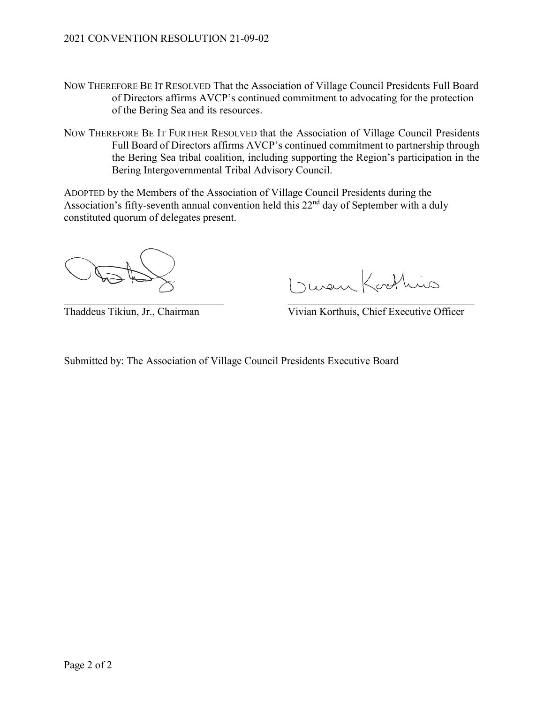- NOW THEREFORE BE IT RESOLVED That the Association of Village Council Presidents Full Board of Directors affirms AVCP's continued commitment to advocating for the protection of the Bering Sea and its resources.
- NOW THEREFORE BE IT FURTHER RESOLVED that the Association of Village Council Presidents Full Board of Directors affirms AVCP's continued commitment to partnership through the Bering Sea tribal coalition, including supporting the Region's participation in the Bering Intergovernmental Tribal Advisory Council.

I ruen Korthuis  $\overline{\phantom{a}}$  , and the contribution of the contribution of the contribution of the contribution of the contribution of the contribution of the contribution of the contribution of the contribution of the contribution of the

Thaddeus Tikiun, Jr., Chairman Vivian Korthuis, Chief Executive Officer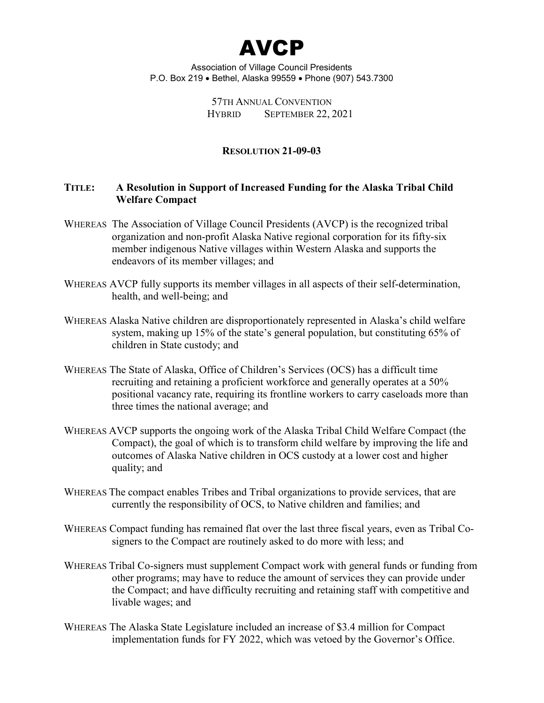

> 57TH ANNUAL CONVENTION HYBRID SEPTEMBER 22, 2021

## **RESOLUTION 21-09-03**

## **TITLE: A Resolution in Support of Increased Funding for the Alaska Tribal Child Welfare Compact**

- WHEREAS The Association of Village Council Presidents (AVCP) is the recognized tribal organization and non-profit Alaska Native regional corporation for its fifty-six member indigenous Native villages within Western Alaska and supports the endeavors of its member villages; and
- WHEREAS AVCP fully supports its member villages in all aspects of their self-determination, health, and well-being; and
- WHEREAS Alaska Native children are disproportionately represented in Alaska's child welfare system, making up 15% of the state's general population, but constituting 65% of children in State custody; and
- WHEREAS The State of Alaska, Office of Children's Services (OCS) has a difficult time recruiting and retaining a proficient workforce and generally operates at a 50% positional vacancy rate, requiring its frontline workers to carry caseloads more than three times the national average; and
- WHEREAS AVCP supports the ongoing work of the Alaska Tribal Child Welfare Compact (the Compact), the goal of which is to transform child welfare by improving the life and outcomes of Alaska Native children in OCS custody at a lower cost and higher quality; and
- WHEREAS The compact enables Tribes and Tribal organizations to provide services, that are currently the responsibility of OCS, to Native children and families; and
- WHEREAS Compact funding has remained flat over the last three fiscal years, even as Tribal Cosigners to the Compact are routinely asked to do more with less; and
- WHEREAS Tribal Co-signers must supplement Compact work with general funds or funding from other programs; may have to reduce the amount of services they can provide under the Compact; and have difficulty recruiting and retaining staff with competitive and livable wages; and
- WHEREAS The Alaska State Legislature included an increase of \$3.4 million for Compact implementation funds for FY 2022, which was vetoed by the Governor's Office.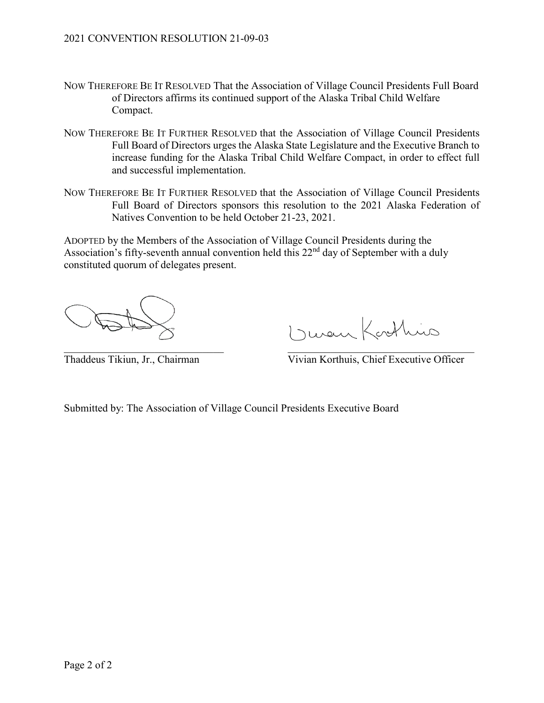- NOW THEREFORE BE IT RESOLVED That the Association of Village Council Presidents Full Board of Directors affirms its continued support of the Alaska Tribal Child Welfare Compact.
- NOW THEREFORE BE IT FURTHER RESOLVED that the Association of Village Council Presidents Full Board of Directors urges the Alaska State Legislature and the Executive Branch to increase funding for the Alaska Tribal Child Welfare Compact, in order to effect full and successful implementation.
- NOW THEREFORE BE IT FURTHER RESOLVED that the Association of Village Council Presidents Full Board of Directors sponsors this resolution to the 2021 Alaska Federation of Natives Convention to be held October 21-23, 2021.

I ruen Kosthins

Thaddeus Tikiun, Jr., Chairman Vivian Korthuis, Chief Executive Officer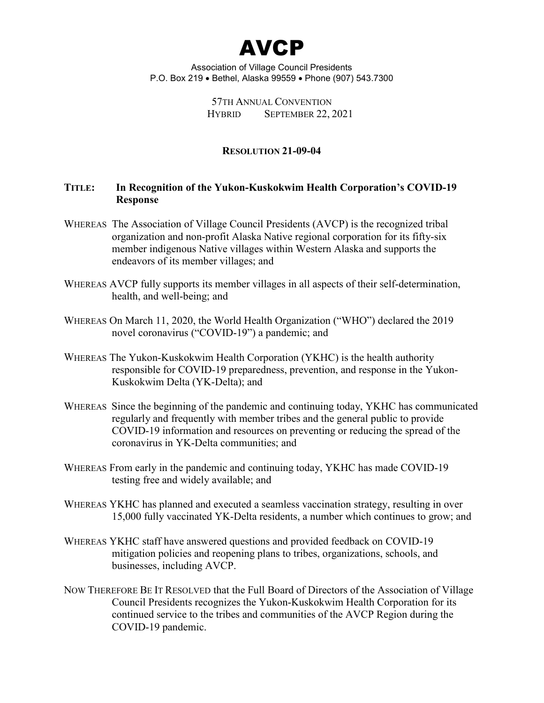

> 57TH ANNUAL CONVENTION HYBRID SEPTEMBER 22, 2021

## **RESOLUTION 21-09-04**

# **TITLE: In Recognition of the Yukon-Kuskokwim Health Corporation's COVID-19 Response**

- WHEREAS The Association of Village Council Presidents (AVCP) is the recognized tribal organization and non-profit Alaska Native regional corporation for its fifty-six member indigenous Native villages within Western Alaska and supports the endeavors of its member villages; and
- WHEREAS AVCP fully supports its member villages in all aspects of their self-determination, health, and well-being; and
- WHEREAS On March 11, 2020, the World Health Organization ("WHO") declared the 2019 novel coronavirus ("COVID-19") a pandemic; and
- WHEREAS The Yukon-Kuskokwim Health Corporation (YKHC) is the health authority responsible for COVID-19 preparedness, prevention, and response in the Yukon-Kuskokwim Delta (YK-Delta); and
- WHEREAS Since the beginning of the pandemic and continuing today, YKHC has communicated regularly and frequently with member tribes and the general public to provide COVID-19 information and resources on preventing or reducing the spread of the coronavirus in YK-Delta communities; and
- WHEREAS From early in the pandemic and continuing today, YKHC has made COVID-19 testing free and widely available; and
- WHEREAS YKHC has planned and executed a seamless vaccination strategy, resulting in over 15,000 fully vaccinated YK-Delta residents, a number which continues to grow; and
- WHEREAS YKHC staff have answered questions and provided feedback on COVID-19 mitigation policies and reopening plans to tribes, organizations, schools, and businesses, including AVCP.
- NOW THEREFORE BE IT RESOLVED that the Full Board of Directors of the Association of Village Council Presidents recognizes the Yukon-Kuskokwim Health Corporation for its continued service to the tribes and communities of the AVCP Region during the COVID-19 pandemic.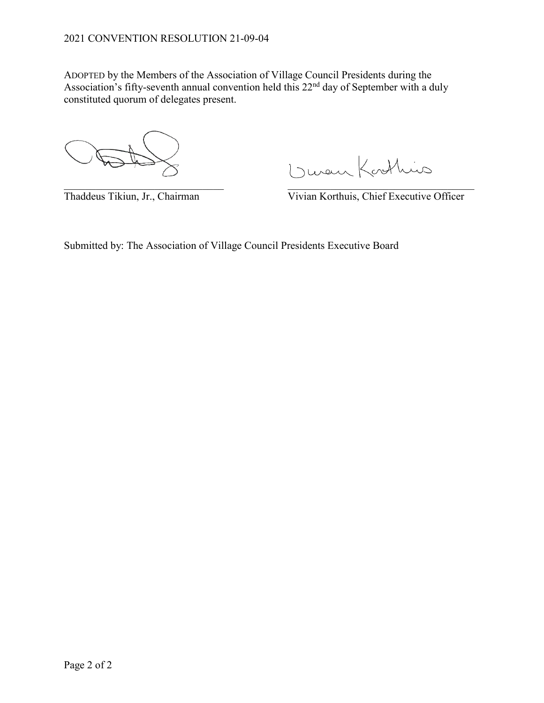1 Junen Kathies

 $\overline{\phantom{a}}$  , and the contribution of the contribution of the contribution of the contribution of the contribution of the contribution of the contribution of the contribution of the contribution of the contribution of the Thaddeus Tikiun, Jr., Chairman Vivian Korthuis, Chief Executive Officer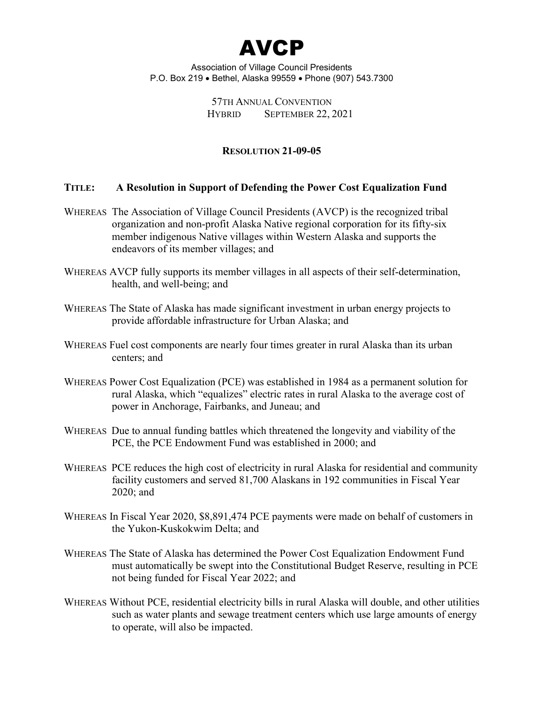

## 57TH ANNUAL CONVENTION HYBRID SEPTEMBER 22, 2021

## **RESOLUTION 21-09-05**

## **TITLE: A Resolution in Support of Defending the Power Cost Equalization Fund**

- WHEREAS The Association of Village Council Presidents (AVCP) is the recognized tribal organization and non-profit Alaska Native regional corporation for its fifty-six member indigenous Native villages within Western Alaska and supports the endeavors of its member villages; and
- WHEREAS AVCP fully supports its member villages in all aspects of their self-determination, health, and well-being; and
- WHEREAS The State of Alaska has made significant investment in urban energy projects to provide affordable infrastructure for Urban Alaska; and
- WHEREAS Fuel cost components are nearly four times greater in rural Alaska than its urban centers; and
- WHEREAS Power Cost Equalization (PCE) was established in 1984 as a permanent solution for rural Alaska, which "equalizes" electric rates in rural Alaska to the average cost of power in Anchorage, Fairbanks, and Juneau; and
- WHEREAS Due to annual funding battles which threatened the longevity and viability of the PCE, the PCE Endowment Fund was established in 2000; and
- WHEREAS PCE reduces the high cost of electricity in rural Alaska for residential and community facility customers and served 81,700 Alaskans in 192 communities in Fiscal Year 2020; and
- WHEREAS In Fiscal Year 2020, \$8,891,474 PCE payments were made on behalf of customers in the Yukon-Kuskokwim Delta; and
- WHEREAS The State of Alaska has determined the Power Cost Equalization Endowment Fund must automatically be swept into the Constitutional Budget Reserve, resulting in PCE not being funded for Fiscal Year 2022; and
- WHEREAS Without PCE, residential electricity bills in rural Alaska will double, and other utilities such as water plants and sewage treatment centers which use large amounts of energy to operate, will also be impacted.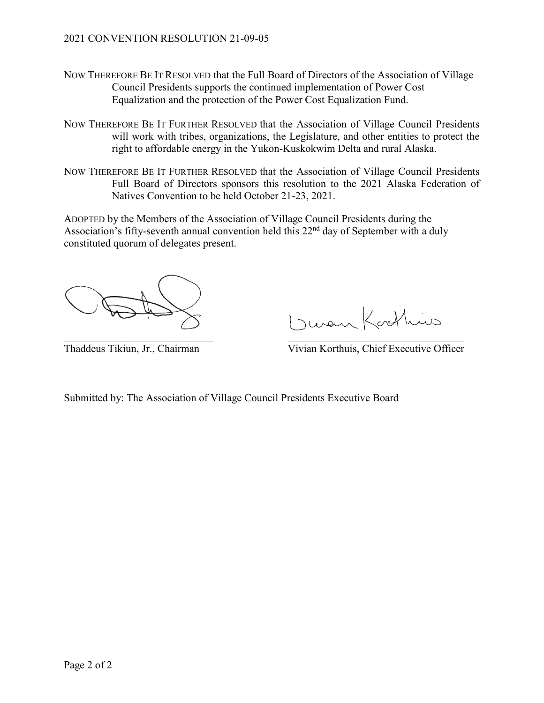- NOW THEREFORE BE IT RESOLVED that the Full Board of Directors of the Association of Village Council Presidents supports the continued implementation of Power Cost Equalization and the protection of the Power Cost Equalization Fund.
- NOW THEREFORE BE IT FURTHER RESOLVED that the Association of Village Council Presidents will work with tribes, organizations, the Legislature, and other entities to protect the right to affordable energy in the Yukon-Kuskokwim Delta and rural Alaska.
- NOW THEREFORE BE IT FURTHER RESOLVED that the Association of Village Council Presidents Full Board of Directors sponsors this resolution to the 2021 Alaska Federation of Natives Convention to be held October 21-23, 2021.

Duran Kosthins

Thaddeus Tikiun, Jr., Chairman Vivian Korthuis, Chief Executive Officer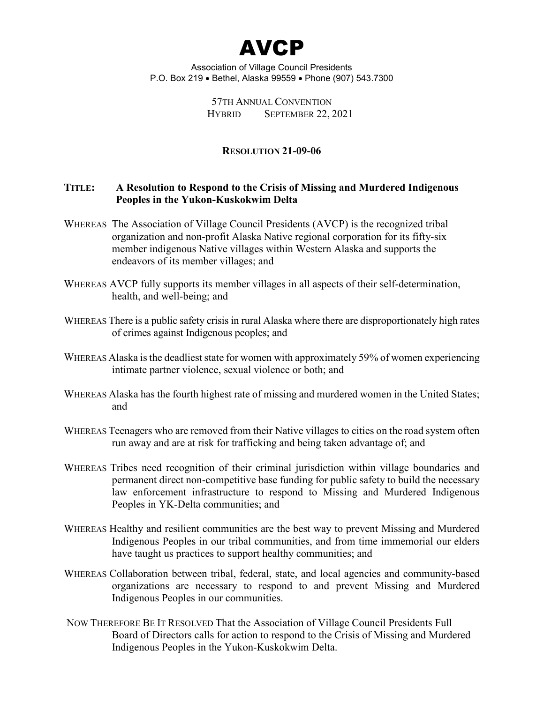

> 57TH ANNUAL CONVENTION HYBRID SEPTEMBER 22, 2021

#### **RESOLUTION 21-09-06**

## **TITLE: A Resolution to Respond to the Crisis of Missing and Murdered Indigenous Peoples in the Yukon-Kuskokwim Delta**

- WHEREAS The Association of Village Council Presidents (AVCP) is the recognized tribal organization and non-profit Alaska Native regional corporation for its fifty-six member indigenous Native villages within Western Alaska and supports the endeavors of its member villages; and
- WHEREAS AVCP fully supports its member villages in all aspects of their self-determination, health, and well-being; and
- WHEREAS There is a public safety crisis in rural Alaska where there are disproportionately high rates of crimes against Indigenous peoples; and
- WHEREAS Alaska is the deadliest state for women with approximately 59% of women experiencing intimate partner violence, sexual violence or both; and
- WHEREAS Alaska has the fourth highest rate of missing and murdered women in the United States; and
- WHEREAS Teenagers who are removed from their Native villages to cities on the road system often run away and are at risk for trafficking and being taken advantage of; and
- WHEREAS Tribes need recognition of their criminal jurisdiction within village boundaries and permanent direct non-competitive base funding for public safety to build the necessary law enforcement infrastructure to respond to Missing and Murdered Indigenous Peoples in YK-Delta communities; and
- WHEREAS Healthy and resilient communities are the best way to prevent Missing and Murdered Indigenous Peoples in our tribal communities, and from time immemorial our elders have taught us practices to support healthy communities; and
- WHEREAS Collaboration between tribal, federal, state, and local agencies and community-based organizations are necessary to respond to and prevent Missing and Murdered Indigenous Peoples in our communities.
- NOW THEREFORE BE IT RESOLVED That the Association of Village Council Presidents Full Board of Directors calls for action to respond to the Crisis of Missing and Murdered Indigenous Peoples in the Yukon-Kuskokwim Delta.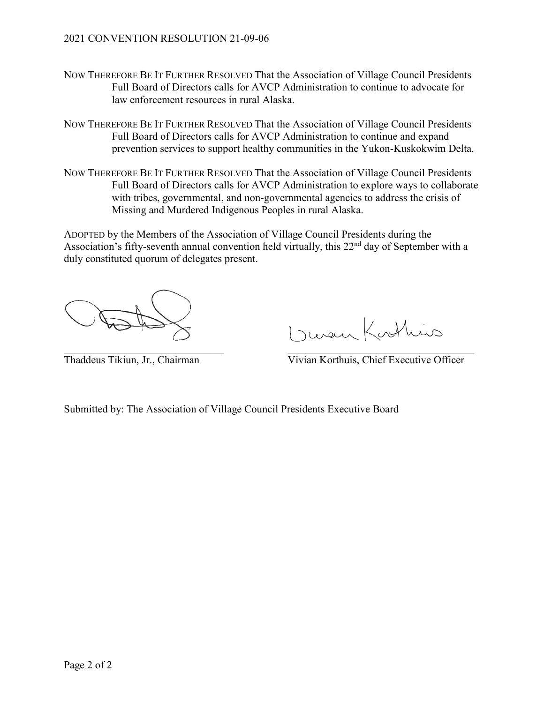# 2021 CONVENTION RESOLUTION 21-09-06

- NOW THEREFORE BE IT FURTHER RESOLVED That the Association of Village Council Presidents Full Board of Directors calls for AVCP Administration to continue to advocate for law enforcement resources in rural Alaska.
- NOW THEREFORE BE IT FURTHER RESOLVED That the Association of Village Council Presidents Full Board of Directors calls for AVCP Administration to continue and expand prevention services to support healthy communities in the Yukon-Kuskokwim Delta.
- NOW THEREFORE BE IT FURTHER RESOLVED That the Association of Village Council Presidents Full Board of Directors calls for AVCP Administration to explore ways to collaborate with tribes, governmental, and non-governmental agencies to address the crisis of Missing and Murdered Indigenous Peoples in rural Alaska.

ADOPTED by the Members of the Association of Village Council Presidents during the Association's fifty-seventh annual convention held virtually, this  $22<sup>nd</sup>$  day of September with a duly constituted quorum of delegates present.

I reven Kosthins

Thaddeus Tikiun, Jr., Chairman Vivian Korthuis, Chief Executive Officer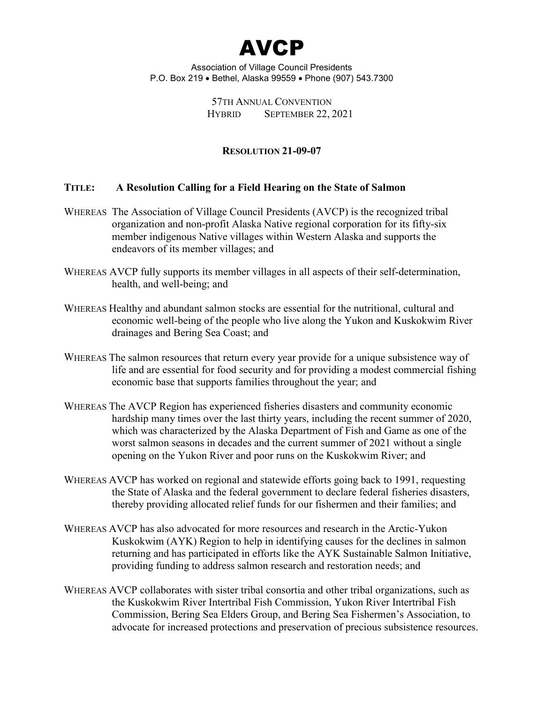

> 57TH ANNUAL CONVENTION HYBRID SEPTEMBER 22, 2021

## **RESOLUTION 21-09-07**

#### **TITLE: A Resolution Calling for a Field Hearing on the State of Salmon**

- WHEREAS The Association of Village Council Presidents (AVCP) is the recognized tribal organization and non-profit Alaska Native regional corporation for its fifty-six member indigenous Native villages within Western Alaska and supports the endeavors of its member villages; and
- WHEREAS AVCP fully supports its member villages in all aspects of their self-determination, health, and well-being; and
- WHEREAS Healthy and abundant salmon stocks are essential for the nutritional, cultural and economic well-being of the people who live along the Yukon and Kuskokwim River drainages and Bering Sea Coast; and
- WHEREAS The salmon resources that return every year provide for a unique subsistence way of life and are essential for food security and for providing a modest commercial fishing economic base that supports families throughout the year; and
- WHEREAS The AVCP Region has experienced fisheries disasters and community economic hardship many times over the last thirty years, including the recent summer of 2020, which was characterized by the Alaska Department of Fish and Game as one of the worst salmon seasons in decades and the current summer of 2021 without a single opening on the Yukon River and poor runs on the Kuskokwim River; and
- WHEREAS AVCP has worked on regional and statewide efforts going back to 1991, requesting the State of Alaska and the federal government to declare federal fisheries disasters, thereby providing allocated relief funds for our fishermen and their families; and
- WHEREAS AVCP has also advocated for more resources and research in the Arctic-Yukon Kuskokwim (AYK) Region to help in identifying causes for the declines in salmon returning and has participated in efforts like the AYK Sustainable Salmon Initiative, providing funding to address salmon research and restoration needs; and
- WHEREAS AVCP collaborates with sister tribal consortia and other tribal organizations, such as the Kuskokwim River Intertribal Fish Commission, Yukon River Intertribal Fish Commission, Bering Sea Elders Group, and Bering Sea Fishermen's Association, to advocate for increased protections and preservation of precious subsistence resources.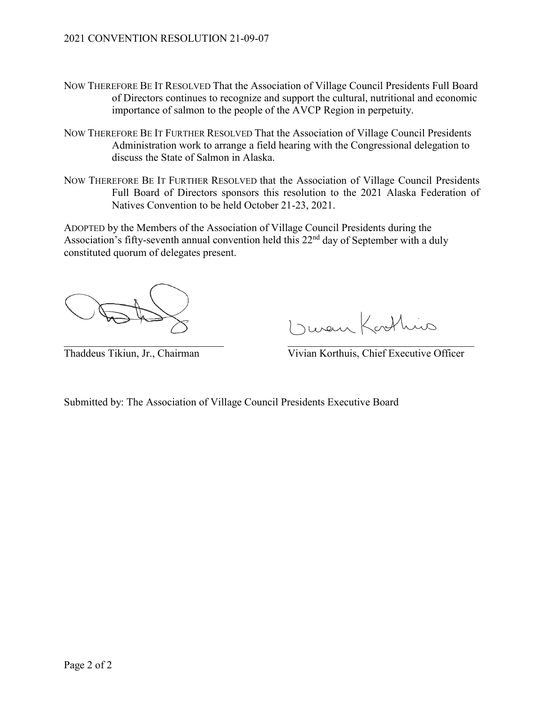- NOW THEREFORE BE IT RESOLVED That the Association of Village Council Presidents Full Board of Directors continues to recognize and support the cultural, nutritional and economic importance of salmon to the people of the AVCP Region in perpetuity.
- NOW THEREFORE BE IT FURTHER RESOLVED That the Association of Village Council Presidents Administration work to arrange a field hearing with the Congressional delegation to discuss the State of Salmon in Alaska.
- NOW THEREFORE BE IT FURTHER RESOLVED that the Association of Village Council Presidents Full Board of Directors sponsors this resolution to the 2021 Alaska Federation of Natives Convention to be held October 21-23, 2021.

I ruen Kothins

Thaddeus Tikiun, Jr., Chairman Vivian Korthuis, Chief Executive Officer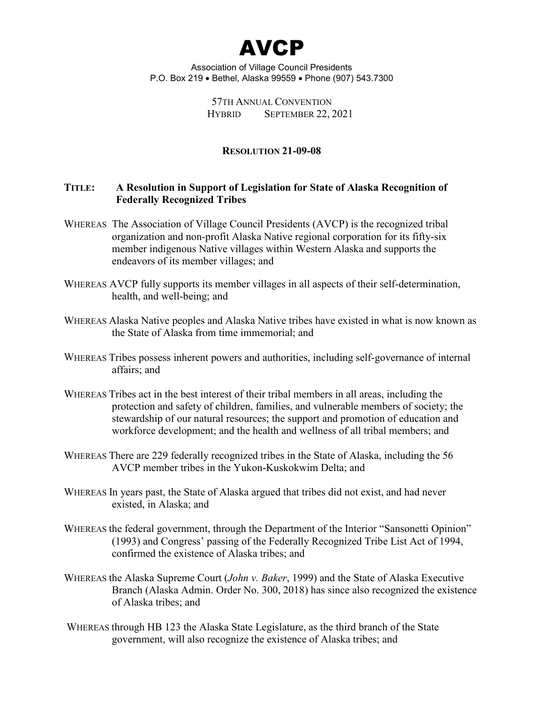

> 57TH ANNUAL CONVENTION HYBRID SEPTEMBER 22, 2021

#### **RESOLUTION 21-09-08**

## **TITLE: A Resolution in Support of Legislation for State of Alaska Recognition of Federally Recognized Tribes**

- WHEREAS The Association of Village Council Presidents (AVCP) is the recognized tribal organization and non-profit Alaska Native regional corporation for its fifty-six member indigenous Native villages within Western Alaska and supports the endeavors of its member villages; and
- WHEREAS AVCP fully supports its member villages in all aspects of their self-determination, health, and well-being; and
- WHEREAS Alaska Native peoples and Alaska Native tribes have existed in what is now known as the State of Alaska from time immemorial; and
- WHEREAS Tribes possess inherent powers and authorities, including self-governance of internal affairs; and
- WHEREAS Tribes act in the best interest of their tribal members in all areas, including the protection and safety of children, families, and vulnerable members of society; the stewardship of our natural resources; the support and promotion of education and workforce development; and the health and wellness of all tribal members; and
- WHEREAS There are 229 federally recognized tribes in the State of Alaska, including the 56 AVCP member tribes in the Yukon-Kuskokwim Delta; and
- WHEREAS In years past, the State of Alaska argued that tribes did not exist, and had never existed, in Alaska; and
- WHEREAS the federal government, through the Department of the Interior "Sansonetti Opinion" (1993) and Congress' passing of the Federally Recognized Tribe List Act of 1994, confirmed the existence of Alaska tribes; and
- WHEREAS the Alaska Supreme Court (*John v. Baker*, 1999) and the State of Alaska Executive Branch (Alaska Admin. Order No. 300, 2018) has since also recognized the existence of Alaska tribes; and
- WHEREAS through HB 123 the Alaska State Legislature, as the third branch of the State government, will also recognize the existence of Alaska tribes; and